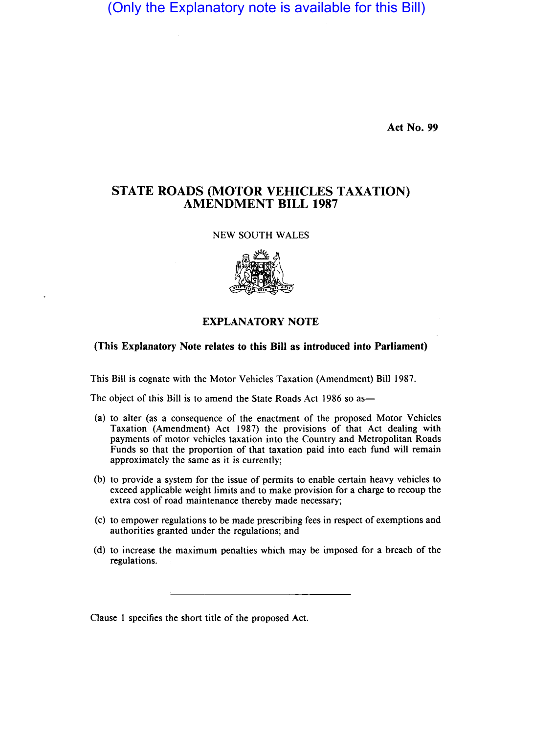(Only the Explanatory note is available for this Bill)

Act No. 99

## STATE ROADS (MOTOR VEHICLES TAXATION) AMENDMENT BILL 1987

## NEW SOUTH WALES



## EXPLANATORY NOTE

(This Explanatory Note relates to this Bill as introduced into Parliament)

This Bill is cognate with the Motor Vehicles Taxation (Amendment) Bill 1987.

The object of this Bill is to amend the State Roads Act 1986 so as—

- (a) to alter (as a consequence of the enactment of the proposed Motor Vehicles Taxation (Amendment) Act 1987) the provisions of that Act dealing with payments of motor vehicles taxation into the Country and Metropolitan Roads Funds so that the proportion of that taxation paid into each fund will remain approximately the same as it is currently;
- (b) to provide a system for the issue of permits to enable certain heavy vehicles to exceed applicable weight limits and to make provision for a charge to recoup the extra cost of road maintenance thereby made necessary;
- (c) to empower regulations to be made prescribing fees in respect of exemptions and authorities granted under the regulations; and
- (d) to increase the maximum penalties which may be imposed for a breach of the regulations.

Clause I specifies the short title of the proposed Act.